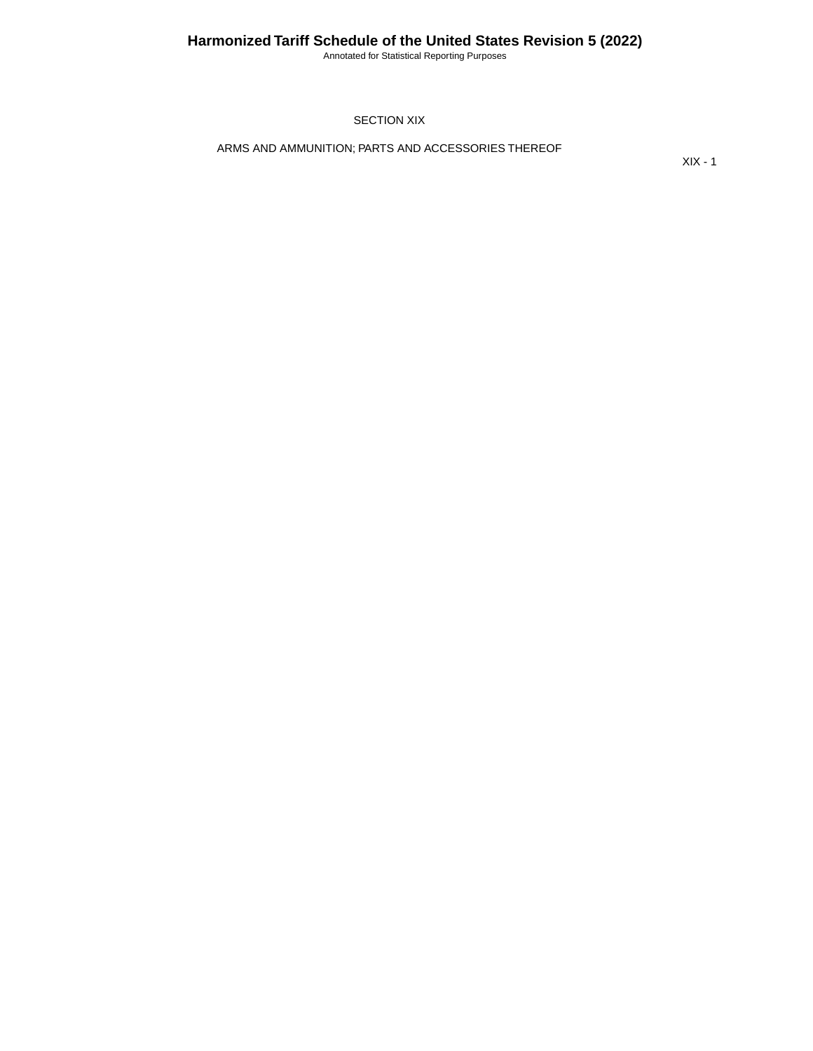Annotated for Statistical Reporting Purposes

SECTION XIX

ARMS AND AMMUNITION; PARTS AND ACCESSORIES THEREOF

XIX - 1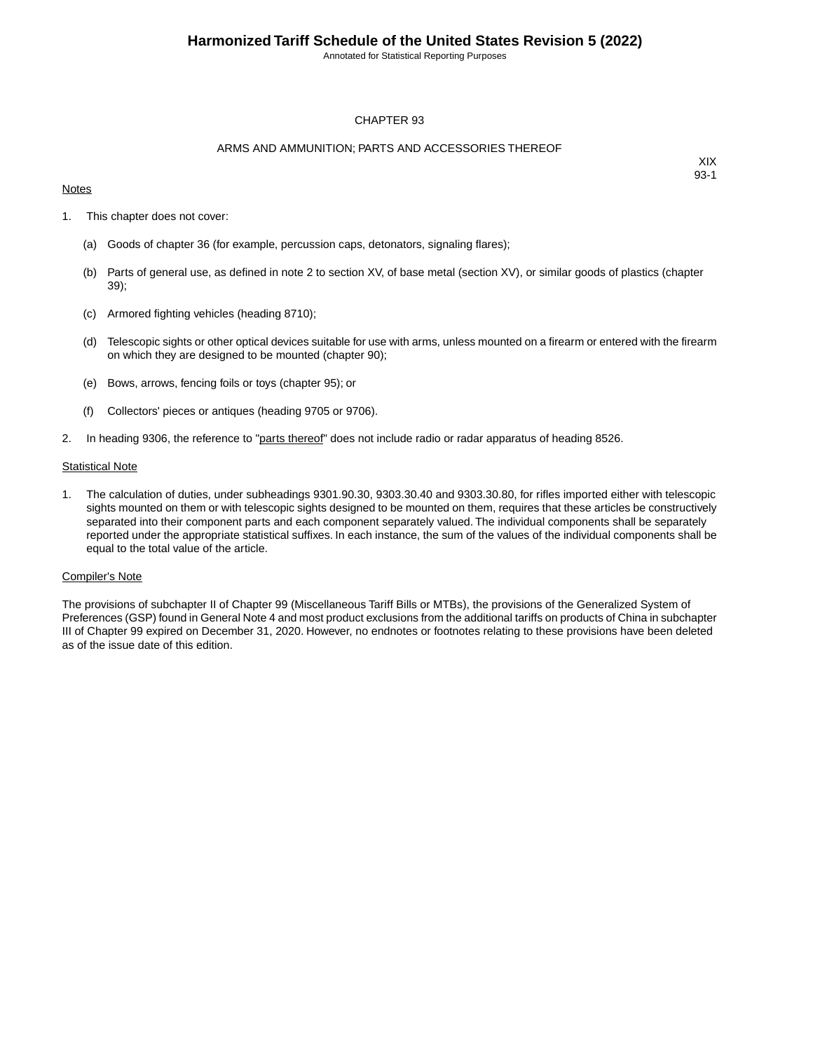Annotated for Statistical Reporting Purposes

### CHAPTER 93

### ARMS AND AMMUNITION; PARTS AND ACCESSORIES THEREOF

### **Notes**

XIX 93-1

- 1. This chapter does not cover:
	- (a) Goods of chapter 36 (for example, percussion caps, detonators, signaling flares);
	- (b) Parts of general use, as defined in note 2 to section XV, of base metal (section XV), or similar goods of plastics (chapter 39);
	- (c) Armored fighting vehicles (heading 8710);
	- (d) Telescopic sights or other optical devices suitable for use with arms, unless mounted on a firearm or entered with the firearm on which they are designed to be mounted (chapter 90);
	- (e) Bows, arrows, fencing foils or toys (chapter 95); or
	- (f) Collectors' pieces or antiques (heading 9705 or 9706).
- 2. In heading 9306, the reference to "parts thereof" does not include radio or radar apparatus of heading 8526.

#### **Statistical Note**

1. The calculation of duties, under subheadings 9301.90.30, 9303.30.40 and 9303.30.80, for rifles imported either with telescopic sights mounted on them or with telescopic sights designed to be mounted on them, requires that these articles be constructively separated into their component parts and each component separately valued. The individual components shall be separately reported under the appropriate statistical suffixes. In each instance, the sum of the values of the individual components shall be equal to the total value of the article.

#### Compiler's Note

The provisions of subchapter II of Chapter 99 (Miscellaneous Tariff Bills or MTBs), the provisions of the Generalized System of Preferences (GSP) found in General Note 4 and most product exclusions from the additional tariffs on products of China in subchapter III of Chapter 99 expired on December 31, 2020. However, no endnotes or footnotes relating to these provisions have been deleted as of the issue date of this edition.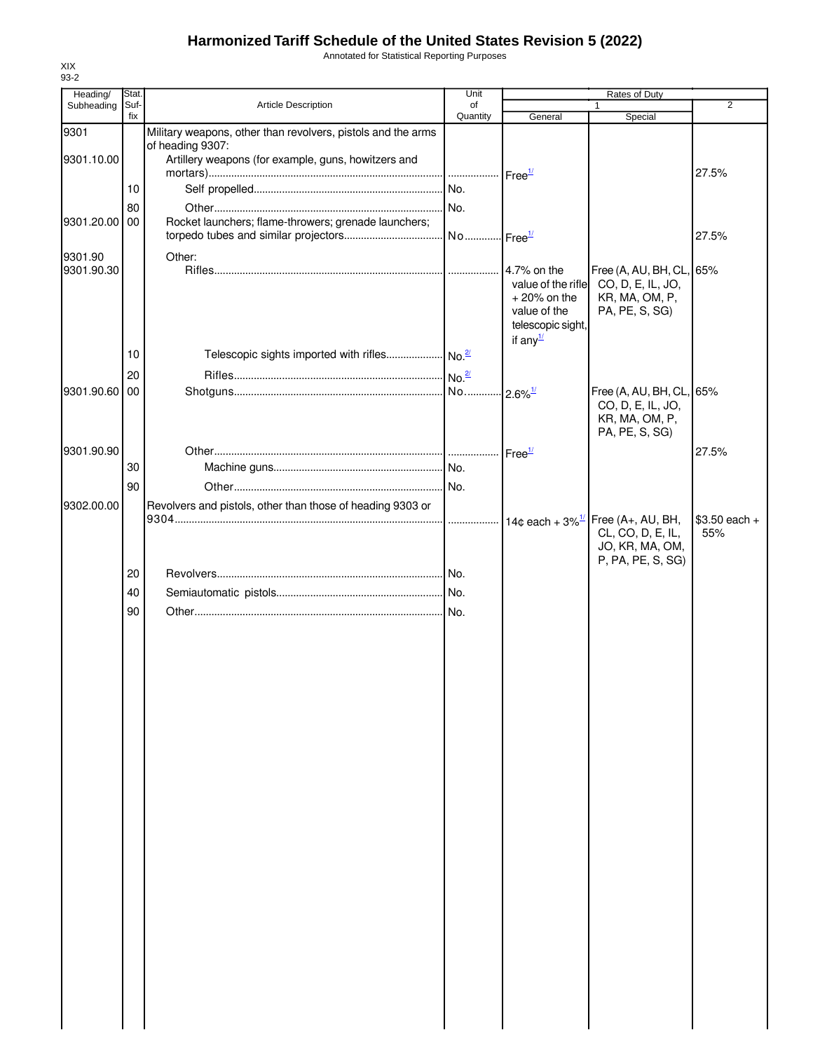Annotated for Statistical Reporting Purposes

| Heading/      | Stat.       |                                                              | Unit     |                      |                                                               |                |
|---------------|-------------|--------------------------------------------------------------|----------|----------------------|---------------------------------------------------------------|----------------|
| Subheading    | Suf-<br>fix | Article Description                                          | of       |                      | 1                                                             | $\overline{2}$ |
| 9301          |             | Military weapons, other than revolvers, pistols and the arms | Quantity | General              | Special                                                       |                |
|               |             | of heading 9307:                                             |          |                      |                                                               |                |
| 9301.10.00    |             | Artillery weapons (for example, guns, howitzers and          |          |                      |                                                               |                |
|               |             |                                                              | .        | Free <sup>1/</sup>   |                                                               | 27.5%          |
|               | 10          |                                                              |          |                      |                                                               |                |
|               | 80          |                                                              | No.      |                      |                                                               |                |
| 9301.20.00 00 |             | Rocket launchers; flame-throwers; grenade launchers;         |          |                      |                                                               |                |
|               |             |                                                              |          |                      |                                                               | 27.5%          |
| 9301.90       |             | Other:                                                       |          |                      |                                                               |                |
| 9301.90.30    |             |                                                              | .        | 4.7% on the          | Free (A, AU, BH, CL, 65%                                      |                |
|               |             |                                                              |          | value of the rifle   | CO, D, E, IL, JO,                                             |                |
|               |             |                                                              |          | $+20\%$ on the       | KR, MA, OM, P,                                                |                |
|               |             |                                                              |          | value of the         | PA, PE, S, SG)                                                |                |
|               |             |                                                              |          | telescopic sight,    |                                                               |                |
|               |             |                                                              |          | if any $\frac{1}{2}$ |                                                               |                |
|               | 10          |                                                              |          |                      |                                                               |                |
|               | 20          |                                                              |          |                      |                                                               |                |
| 9301.90.60 00 |             |                                                              |          |                      | Free (A, AU, BH, CL, 65%                                      |                |
|               |             |                                                              |          |                      | CO, D, E, IL, JO,                                             |                |
|               |             |                                                              |          |                      | KR, MA, OM, P,                                                |                |
|               |             |                                                              |          |                      | PA, PE, S, SG)                                                |                |
| 9301.90.90    |             |                                                              |          | Free <sup>1/</sup>   |                                                               | 27.5%          |
|               | 30          |                                                              |          |                      |                                                               |                |
|               | 90          |                                                              |          |                      |                                                               |                |
| 9302.00.00    |             | Revolvers and pistols, other than those of heading 9303 or   |          |                      |                                                               |                |
|               |             |                                                              |          |                      | 14¢ each + $3\%$ <sup><math>1/</math></sup> Free (A+, AU, BH, | $$3.50$ each + |
|               |             |                                                              |          |                      | CL, CO, D, E, IL,                                             | 55%            |
|               |             |                                                              |          |                      | JO, KR, MA, OM,                                               |                |
|               |             |                                                              |          |                      | P, PA, PE, S, SG)                                             |                |
|               | 20          |                                                              |          |                      |                                                               |                |
|               | 40          |                                                              |          |                      |                                                               |                |
|               | 90          |                                                              |          |                      |                                                               |                |
|               |             |                                                              |          |                      |                                                               |                |
|               |             |                                                              |          |                      |                                                               |                |
|               |             |                                                              |          |                      |                                                               |                |
|               |             |                                                              |          |                      |                                                               |                |
|               |             |                                                              |          |                      |                                                               |                |
|               |             |                                                              |          |                      |                                                               |                |
|               |             |                                                              |          |                      |                                                               |                |
|               |             |                                                              |          |                      |                                                               |                |
|               |             |                                                              |          |                      |                                                               |                |
|               |             |                                                              |          |                      |                                                               |                |
|               |             |                                                              |          |                      |                                                               |                |
|               |             |                                                              |          |                      |                                                               |                |
|               |             |                                                              |          |                      |                                                               |                |
|               |             |                                                              |          |                      |                                                               |                |
|               |             |                                                              |          |                      |                                                               |                |
|               |             |                                                              |          |                      |                                                               |                |
|               |             |                                                              |          |                      |                                                               |                |
|               |             |                                                              |          |                      |                                                               |                |
|               |             |                                                              |          |                      |                                                               |                |
|               |             |                                                              |          |                      |                                                               |                |
|               |             |                                                              |          |                      |                                                               |                |
|               |             |                                                              |          |                      |                                                               |                |
|               |             |                                                              |          |                      |                                                               |                |
|               |             |                                                              |          |                      |                                                               |                |
|               |             |                                                              |          |                      |                                                               |                |
|               |             |                                                              |          |                      |                                                               |                |
|               |             |                                                              |          |                      |                                                               |                |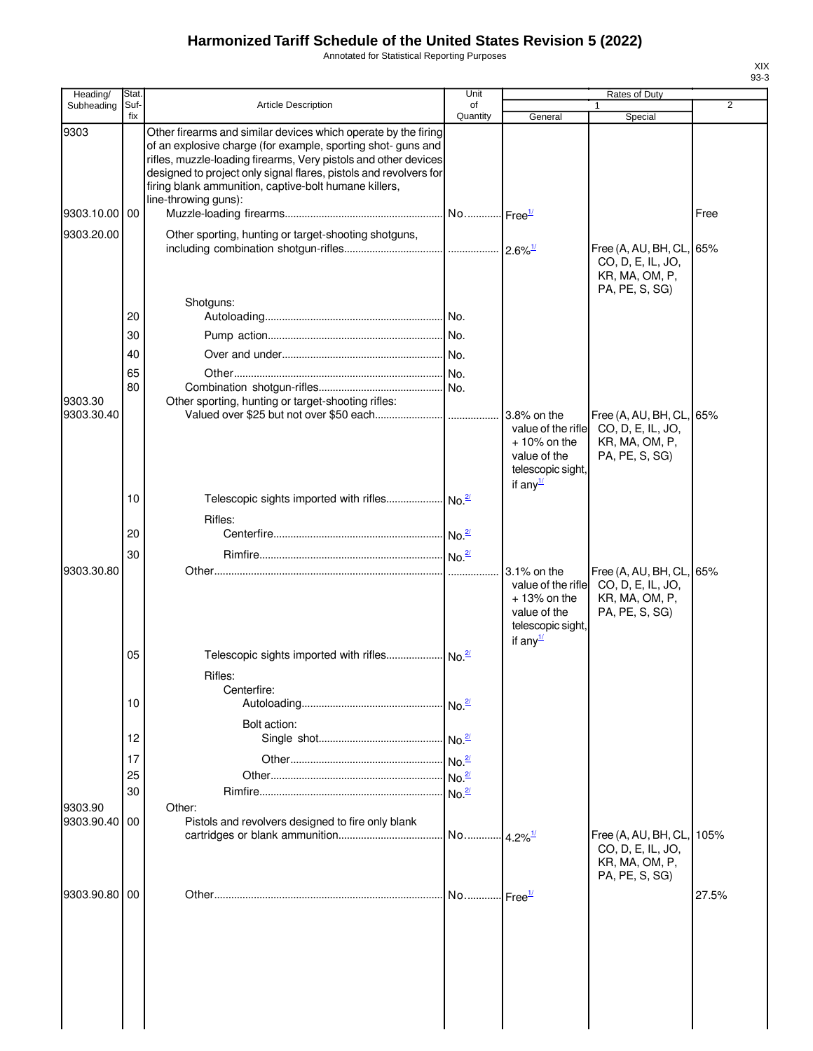Annotated for Statistical Reporting Purposes

| Heading/              | <b>Stat</b> |                                                                                                                                                                                                                                                                                                                                 | Unit                  |                                                                                                                    | Rates of Duty                                                                 |                |
|-----------------------|-------------|---------------------------------------------------------------------------------------------------------------------------------------------------------------------------------------------------------------------------------------------------------------------------------------------------------------------------------|-----------------------|--------------------------------------------------------------------------------------------------------------------|-------------------------------------------------------------------------------|----------------|
| Subheading            | Suf-<br>fix | <b>Article Description</b>                                                                                                                                                                                                                                                                                                      | of<br>Quantity        | General                                                                                                            | 1<br>Special                                                                  | $\overline{2}$ |
| 9303                  |             | Other firearms and similar devices which operate by the firing<br>of an explosive charge (for example, sporting shot- guns and<br>rifles, muzzle-loading firearms, Very pistols and other devices<br>designed to project only signal flares, pistols and revolvers for<br>firing blank ammunition, captive-bolt humane killers, |                       |                                                                                                                    |                                                                               |                |
| 9303.10.00            | 00          | line-throwing guns):                                                                                                                                                                                                                                                                                                            |                       |                                                                                                                    |                                                                               | Free           |
| 9303.20.00            |             | Other sporting, hunting or target-shooting shotguns,                                                                                                                                                                                                                                                                            |                       |                                                                                                                    | Free (A, AU, BH, CL,<br>CO, D, E, IL, JO,<br>KR, MA, OM, P,<br>PA, PE, S, SG) | 65%            |
|                       |             | Shotguns:                                                                                                                                                                                                                                                                                                                       |                       |                                                                                                                    |                                                                               |                |
|                       | 20          |                                                                                                                                                                                                                                                                                                                                 |                       |                                                                                                                    |                                                                               |                |
|                       | 30          |                                                                                                                                                                                                                                                                                                                                 |                       |                                                                                                                    |                                                                               |                |
|                       | 40          |                                                                                                                                                                                                                                                                                                                                 |                       |                                                                                                                    |                                                                               |                |
|                       | 65          |                                                                                                                                                                                                                                                                                                                                 |                       |                                                                                                                    |                                                                               |                |
|                       | 80          |                                                                                                                                                                                                                                                                                                                                 |                       |                                                                                                                    |                                                                               |                |
| 9303.30<br>9303.30.40 |             | Other sporting, hunting or target-shooting rifles:                                                                                                                                                                                                                                                                              |                       | value of the rifle<br>$+10\%$ on the<br>value of the<br>telescopic sight,<br>if any $\frac{1}{2}$                  | Free (A, AU, BH, CL,<br>CO, D, E, IL, JO,<br>KR, MA, OM, P,<br>PA, PE, S, SG) | 65%            |
|                       | 10          |                                                                                                                                                                                                                                                                                                                                 |                       |                                                                                                                    |                                                                               |                |
|                       |             | Rifles:                                                                                                                                                                                                                                                                                                                         |                       |                                                                                                                    |                                                                               |                |
|                       | 20          |                                                                                                                                                                                                                                                                                                                                 |                       |                                                                                                                    |                                                                               |                |
|                       | 30          |                                                                                                                                                                                                                                                                                                                                 |                       |                                                                                                                    |                                                                               |                |
| 9303.30.80            |             |                                                                                                                                                                                                                                                                                                                                 |                       | $3.1\%$ on the<br>value of the rifle<br>$+13%$ on the<br>value of the<br>telescopic sight,<br>if any $\frac{1}{2}$ | Free (A, AU, BH, CL,<br>CO, D, E, IL, JO,<br>KR, MA, OM, P,<br>PA, PE, S, SG) | 65%            |
|                       | 05          | Rifles:                                                                                                                                                                                                                                                                                                                         |                       |                                                                                                                    |                                                                               |                |
|                       | 10          | Centerfire:                                                                                                                                                                                                                                                                                                                     |                       |                                                                                                                    |                                                                               |                |
|                       |             | Bolt action:                                                                                                                                                                                                                                                                                                                    |                       |                                                                                                                    |                                                                               |                |
|                       | 12          |                                                                                                                                                                                                                                                                                                                                 |                       |                                                                                                                    |                                                                               |                |
|                       | 17          |                                                                                                                                                                                                                                                                                                                                 |                       |                                                                                                                    |                                                                               |                |
|                       | 25          |                                                                                                                                                                                                                                                                                                                                 |                       |                                                                                                                    |                                                                               |                |
|                       | 30          |                                                                                                                                                                                                                                                                                                                                 |                       |                                                                                                                    |                                                                               |                |
| 9303.90               |             | Other:                                                                                                                                                                                                                                                                                                                          |                       |                                                                                                                    |                                                                               |                |
| 9303.90.40            | 00          | Pistols and revolvers designed to fire only blank                                                                                                                                                                                                                                                                               |                       |                                                                                                                    | Free (A, AU, BH, CL,<br>CO, D, E, IL, JO,                                     | 105%           |
|                       |             |                                                                                                                                                                                                                                                                                                                                 |                       |                                                                                                                    | KR, MA, OM, P,<br>PA, PE, S, SG)                                              |                |
| 9303.90.80 00         |             |                                                                                                                                                                                                                                                                                                                                 | No Free <sup>1/</sup> |                                                                                                                    |                                                                               | 27.5%          |
|                       |             |                                                                                                                                                                                                                                                                                                                                 |                       |                                                                                                                    |                                                                               |                |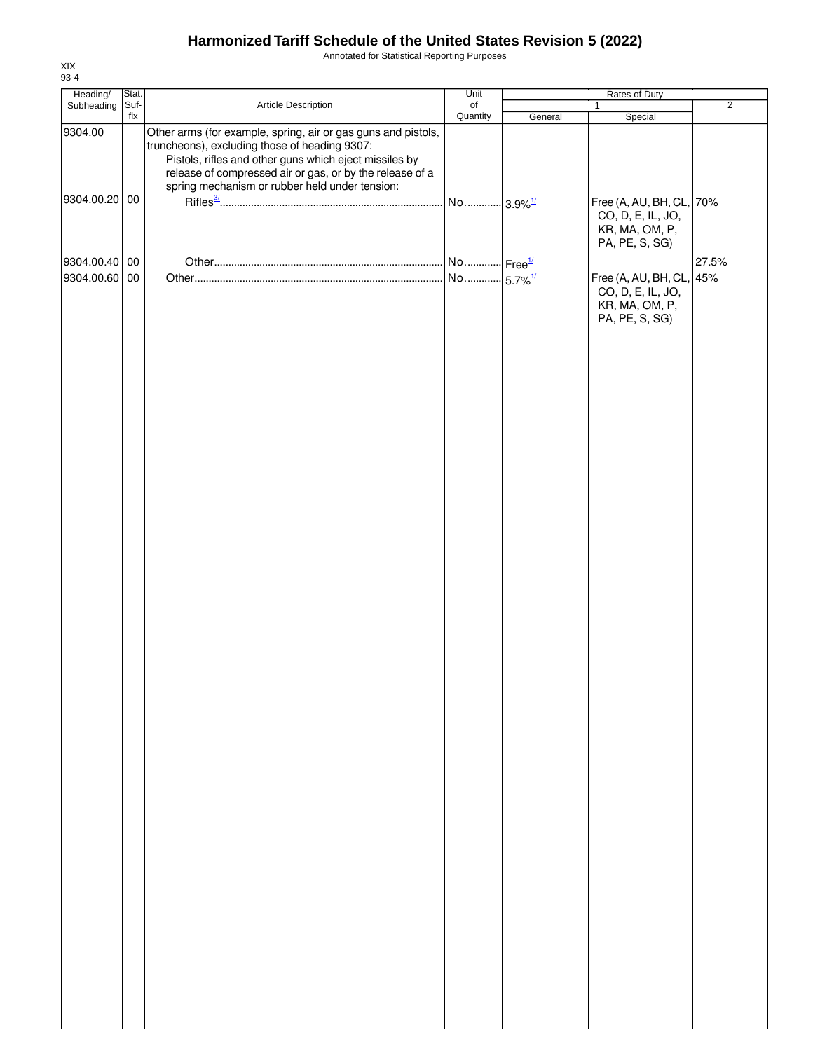Annotated for Statistical Reporting Purposes

| Heading/      | Stat.       |                                                                                                                                                                                                                                                                                        | Unit                       | Rates of Duty |                                                                                   |                |  |
|---------------|-------------|----------------------------------------------------------------------------------------------------------------------------------------------------------------------------------------------------------------------------------------------------------------------------------------|----------------------------|---------------|-----------------------------------------------------------------------------------|----------------|--|
| Subheading    | Suf-<br>fix | Article Description                                                                                                                                                                                                                                                                    | o <sub>f</sub><br>Quantity | General       | 1<br>Special                                                                      | $\overline{2}$ |  |
| 9304.00       |             | Other arms (for example, spring, air or gas guns and pistols,<br>truncheons), excluding those of heading 9307:<br>Pistols, rifles and other guns which eject missiles by<br>release of compressed air or gas, or by the release of a<br>spring mechanism or rubber held under tension: |                            |               |                                                                                   |                |  |
| 9304.00.20 00 |             |                                                                                                                                                                                                                                                                                        | No 3.9% <sup>1/</sup>      |               | Free (A, AU, BH, CL, 70%<br>CO, D, E, IL, JO,<br>KR, MA, OM, P,<br>PA, PE, S, SG) |                |  |
| 9304.00.40 00 |             |                                                                                                                                                                                                                                                                                        | No Free <sup>1/</sup>      |               |                                                                                   | 27.5%          |  |
| 9304.00.60 00 |             |                                                                                                                                                                                                                                                                                        | No 5.7% <sup>1/</sup>      |               | Free (A, AU, BH, CL, 45%<br>CO, D, E, IL, JO,<br>KR, MA, OM, P,<br>PA, PE, S, SG) |                |  |
|               |             |                                                                                                                                                                                                                                                                                        |                            |               |                                                                                   |                |  |
|               |             |                                                                                                                                                                                                                                                                                        |                            |               |                                                                                   |                |  |
|               |             |                                                                                                                                                                                                                                                                                        |                            |               |                                                                                   |                |  |
|               |             |                                                                                                                                                                                                                                                                                        |                            |               |                                                                                   |                |  |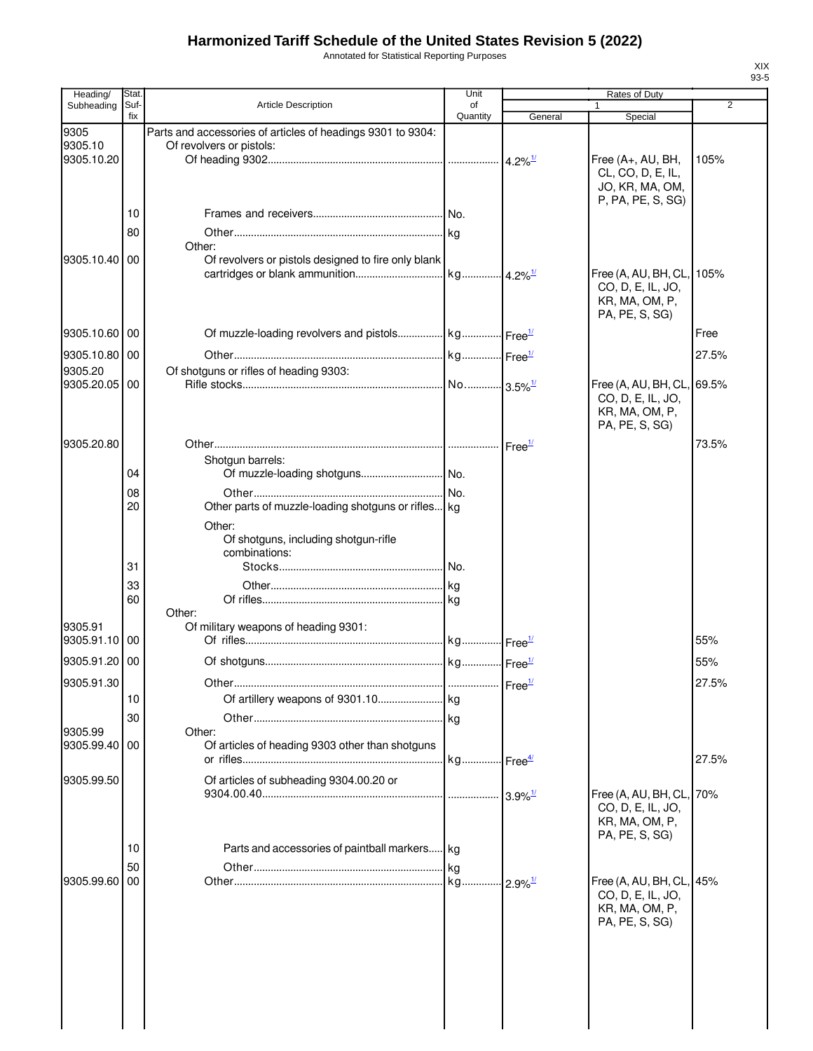Annotated for Statistical Reporting Purposes

| Heading/                 | Stat.       |                                                               | Unit                  | Rates of Duty |                                               |                |
|--------------------------|-------------|---------------------------------------------------------------|-----------------------|---------------|-----------------------------------------------|----------------|
| Subheading               | Suf-<br>fix | Article Description                                           | of<br>Quantity        | General       | 1<br>Special                                  | $\overline{2}$ |
| 9305                     |             | Parts and accessories of articles of headings 9301 to 9304:   |                       |               |                                               |                |
| 9305.10                  |             | Of revolvers or pistols:                                      |                       |               |                                               |                |
| 9305.10.20               |             |                                                               |                       |               | Free (A+, AU, BH,                             | 105%           |
|                          |             |                                                               |                       |               | CL, CO, D, E, IL,                             |                |
|                          |             |                                                               |                       |               | JO, KR, MA, OM,<br>P, PA, PE, S, SG)          |                |
|                          | 10          |                                                               |                       |               |                                               |                |
|                          | 80          |                                                               |                       |               |                                               |                |
|                          |             | Other:                                                        |                       |               |                                               |                |
| 9305.10.40               | 00          | Of revolvers or pistols designed to fire only blank           |                       |               |                                               |                |
|                          |             |                                                               |                       |               | Free (A, AU, BH, CL, 105%                     |                |
|                          |             |                                                               |                       |               | CO, D, E, IL, JO,<br>KR, MA, OM, P,           |                |
|                          |             |                                                               |                       |               | PA, PE, S, SG)                                |                |
| 9305.10.60 00            |             | Of muzzle-loading revolvers and pistols kg Free <sup>1/</sup> |                       |               |                                               | Free           |
|                          |             |                                                               |                       |               |                                               |                |
| 9305.10.80 00<br>9305.20 |             |                                                               |                       |               |                                               | 27.5%          |
| 9305.20.05 00            |             | Of shotguns or rifles of heading 9303:                        |                       |               | Free (A, AU, BH, CL, 69.5%                    |                |
|                          |             |                                                               |                       |               | CO, D, E, IL, JO,                             |                |
|                          |             |                                                               |                       |               | KR, MA, OM, P,                                |                |
|                          |             |                                                               |                       |               | PA, PE, S, SG)                                |                |
| 9305.20.80               |             |                                                               |                       |               |                                               | 73.5%          |
|                          |             | Shotgun barrels:                                              |                       |               |                                               |                |
|                          | 04          |                                                               |                       |               |                                               |                |
|                          | 08          |                                                               | No.                   |               |                                               |                |
|                          | 20          | Other parts of muzzle-loading shotguns or rifles kg           |                       |               |                                               |                |
|                          |             | Other:                                                        |                       |               |                                               |                |
|                          |             | Of shotguns, including shotgun-rifle<br>combinations:         |                       |               |                                               |                |
|                          | 31          |                                                               |                       |               |                                               |                |
|                          | 33          |                                                               |                       |               |                                               |                |
|                          | 60          |                                                               |                       |               |                                               |                |
|                          |             | Other:                                                        |                       |               |                                               |                |
| 9305.91<br>9305.91.10    | 00          | Of military weapons of heading 9301:                          |                       |               |                                               | 55%            |
|                          |             |                                                               |                       |               |                                               |                |
| 9305.91.20 00            |             |                                                               |                       |               |                                               | 55%            |
| 9305.91.30               |             |                                                               |                       |               |                                               | 27.5%          |
|                          | 10          |                                                               |                       |               |                                               |                |
|                          | 30          |                                                               |                       |               |                                               |                |
| 9305.99                  |             | Other:                                                        |                       |               |                                               |                |
| 9305.99.40               | 00          | Of articles of heading 9303 other than shotguns               |                       |               |                                               | 27.5%          |
|                          |             |                                                               |                       |               |                                               |                |
| 9305.99.50               |             | Of articles of subheading 9304.00.20 or                       |                       |               |                                               |                |
|                          |             |                                                               |                       |               | Free (A, AU, BH, CL, 70%<br>CO, D, E, IL, JO, |                |
|                          |             |                                                               |                       |               | KR, MA, OM, P,                                |                |
|                          |             |                                                               |                       |               | PA, PE, S, SG)                                |                |
|                          | 10          | Parts and accessories of paintball markers kg                 |                       |               |                                               |                |
|                          | 50          |                                                               | <b>kg</b>             |               |                                               |                |
| 9305.99.60               | 00          |                                                               | kg 2.9% <sup>1/</sup> |               | Free (A, AU, BH, CL, 45%<br>CO, D, E, IL, JO, |                |
|                          |             |                                                               |                       |               | KR, MA, OM, P,                                |                |
|                          |             |                                                               |                       |               | PA, PE, S, SG)                                |                |
|                          |             |                                                               |                       |               |                                               |                |
|                          |             |                                                               |                       |               |                                               |                |
|                          |             |                                                               |                       |               |                                               |                |
|                          |             |                                                               |                       |               |                                               |                |
|                          |             |                                                               |                       |               |                                               |                |
|                          |             |                                                               |                       |               |                                               |                |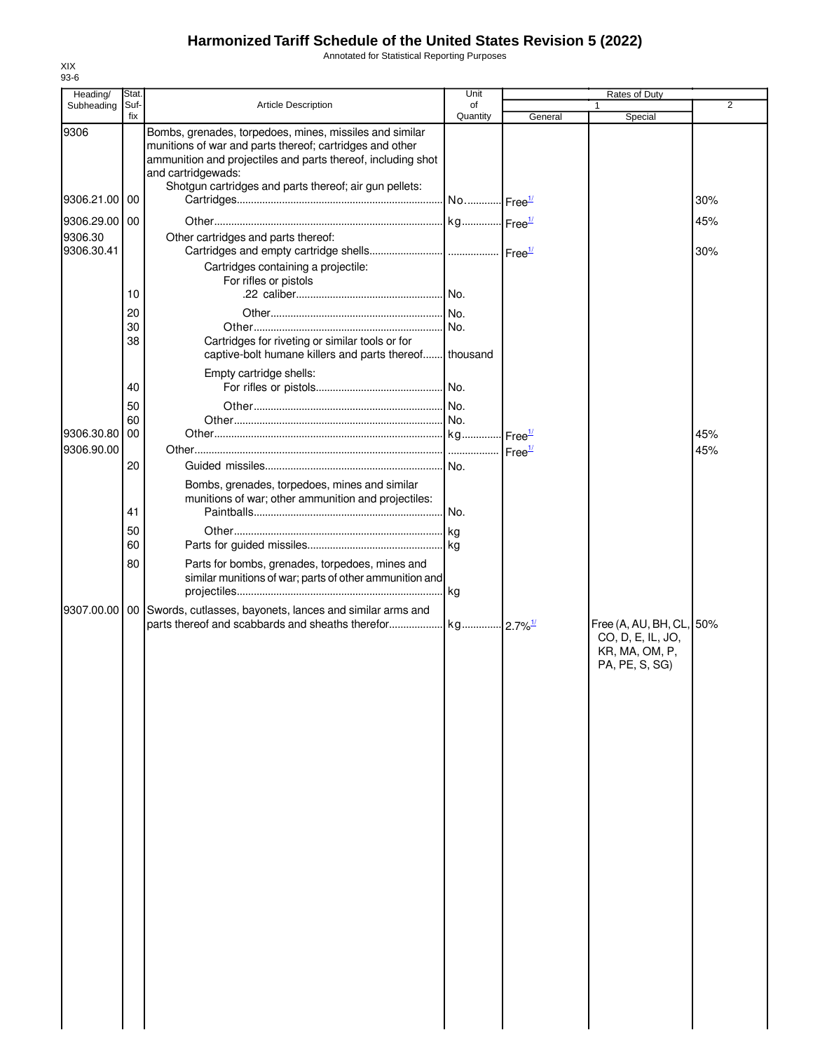Annotated for Statistical Reporting Purposes

| Heading/                 | Stat.    |                                                                                                                 | Unit                  |                      | Rates of Duty            |            |
|--------------------------|----------|-----------------------------------------------------------------------------------------------------------------|-----------------------|----------------------|--------------------------|------------|
| Subheading               | Suf-     | <b>Article Description</b>                                                                                      | of                    |                      |                          | 2          |
| 9306                     | fix      | Bombs, grenades, torpedoes, mines, missiles and similar                                                         | Quantity              | General              | Special                  |            |
|                          |          | munitions of war and parts thereof; cartridges and other                                                        |                       |                      |                          |            |
|                          |          | ammunition and projectiles and parts thereof, including shot<br>and cartridgewads:                              |                       |                      |                          |            |
|                          |          | Shotgun cartridges and parts thereof; air gun pellets:                                                          |                       |                      |                          |            |
| 9306.21.00               | 00       |                                                                                                                 | No Free <sup>1/</sup> |                      |                          | 30%        |
| 9306.29.00               | 00       |                                                                                                                 |                       |                      |                          | 45%        |
| 9306.30                  |          | Other cartridges and parts thereof:                                                                             |                       |                      |                          |            |
| 9306.30.41               |          |                                                                                                                 |                       |                      |                          | 30%        |
|                          |          | Cartridges containing a projectile:                                                                             |                       |                      |                          |            |
|                          |          | For rifles or pistols                                                                                           | .No.                  |                      |                          |            |
|                          | 10       |                                                                                                                 |                       |                      |                          |            |
|                          | 20<br>30 |                                                                                                                 | No.                   |                      |                          |            |
|                          | 38       | Cartridges for riveting or similar tools or for                                                                 |                       |                      |                          |            |
|                          |          | captive-bolt humane killers and parts thereof                                                                   | thousand              |                      |                          |            |
|                          |          | Empty cartridge shells:                                                                                         |                       |                      |                          |            |
|                          | 40       |                                                                                                                 |                       |                      |                          |            |
|                          | 50       |                                                                                                                 |                       |                      |                          |            |
|                          | 60       |                                                                                                                 |                       |                      |                          |            |
| 9306.30.80<br>9306.90.00 | 00       |                                                                                                                 |                       | ⊶ Free <sup>1/</sup> |                          | 45%<br>45% |
|                          | 20       |                                                                                                                 | <br>No.               | Free <sup>1/</sup>   |                          |            |
|                          |          |                                                                                                                 |                       |                      |                          |            |
|                          |          | Bombs, grenades, torpedoes, mines and similar<br>munitions of war; other ammunition and projectiles:            |                       |                      |                          |            |
|                          | 41       |                                                                                                                 | No.                   |                      |                          |            |
|                          | 50       |                                                                                                                 |                       |                      |                          |            |
|                          | 60       |                                                                                                                 |                       |                      |                          |            |
|                          | 80       | Parts for bombs, grenades, torpedoes, mines and                                                                 |                       |                      |                          |            |
|                          |          | similar munitions of war; parts of other ammunition and                                                         |                       |                      |                          |            |
|                          |          |                                                                                                                 | . kg                  |                      |                          |            |
| 9307.00.00               |          | 00 Swords, cutlasses, bayonets, lances and similar arms and<br>parts thereof and scabbards and sheaths therefor | kg 2.7% <sup>1/</sup> |                      | Free (A, AU, BH, CL, 50% |            |
|                          |          |                                                                                                                 |                       |                      | CO, D, E, IL, JO,        |            |
|                          |          |                                                                                                                 |                       |                      | KR, MA, OM, P,           |            |
|                          |          |                                                                                                                 |                       |                      | PA, PE, S, SG)           |            |
|                          |          |                                                                                                                 |                       |                      |                          |            |
|                          |          |                                                                                                                 |                       |                      |                          |            |
|                          |          |                                                                                                                 |                       |                      |                          |            |
|                          |          |                                                                                                                 |                       |                      |                          |            |
|                          |          |                                                                                                                 |                       |                      |                          |            |
|                          |          |                                                                                                                 |                       |                      |                          |            |
|                          |          |                                                                                                                 |                       |                      |                          |            |
|                          |          |                                                                                                                 |                       |                      |                          |            |
|                          |          |                                                                                                                 |                       |                      |                          |            |
|                          |          |                                                                                                                 |                       |                      |                          |            |
|                          |          |                                                                                                                 |                       |                      |                          |            |
|                          |          |                                                                                                                 |                       |                      |                          |            |
|                          |          |                                                                                                                 |                       |                      |                          |            |
|                          |          |                                                                                                                 |                       |                      |                          |            |
|                          |          |                                                                                                                 |                       |                      |                          |            |
|                          |          |                                                                                                                 |                       |                      |                          |            |
|                          |          |                                                                                                                 |                       |                      |                          |            |
|                          |          |                                                                                                                 |                       |                      |                          |            |
|                          |          |                                                                                                                 |                       |                      |                          |            |
|                          |          |                                                                                                                 |                       |                      |                          |            |